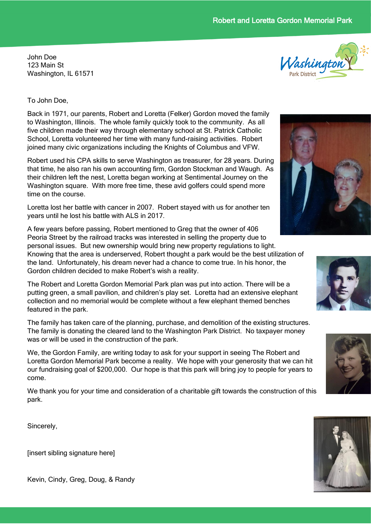# Robert and Loretta Gordon Memorial Park

John Doe 123 Main St Washington, IL 61571



#### To John Doe,

Back in 1971, our parents, Robert and Loretta (Felker) Gordon moved the family to Washington, Illinois. The whole family quickly took to the community. As all five children made their way through elementary school at St. Patrick Catholic School, Loretta volunteered her time with many fund-raising activities. Robert joined many civic organizations including the Knights of Columbus and VFW.

Robert used his CPA skills to serve Washington as treasurer, for 28 years. During that time, he also ran his own accounting firm, Gordon Stockman and Waugh. As their children left the nest, Loretta began working at Sentimental Journey on the Washington square. With more free time, these avid golfers could spend more time on the course.

Loretta lost her battle with cancer in 2007. Robert stayed with us for another ten years until he lost his battle with ALS in 2017.

A few years before passing, Robert mentioned to Greg that the owner of 406 Peoria Street by the railroad tracks was interested in selling the property due to personal issues. But new ownership would bring new property regulations to light. Knowing that the area is underserved, Robert thought a park would be the best utilization of the land. Unfortunately, his dream never had a chance to come true. In his honor, the Gordon children decided to make Robert's wish a reality.

The Robert and Loretta Gordon Memorial Park plan was put into action. There will be a putting green, a small pavilion, and children's play set. Loretta had an extensive elephant collection and no memorial would be complete without a few elephant themed benches featured in the park.

The family has taken care of the planning, purchase, and demolition of the existing structures. The family is donating the cleared land to the Washington Park District. No taxpayer money was or will be used in the construction of the park.

We, the Gordon Family, are writing today to ask for your support in seeing The Robert and Loretta Gordon Memorial Park become a reality. We hope with your generosity that we can hit our fundraising goal of \$200,000. Our hope is that this park will bring joy to people for years to come.

We thank you for your time and consideration of a charitable gift towards the construction of this park.

Sincerely,

[insert sibling signature here]







Kevin, Cindy, Greg, Doug, & Randy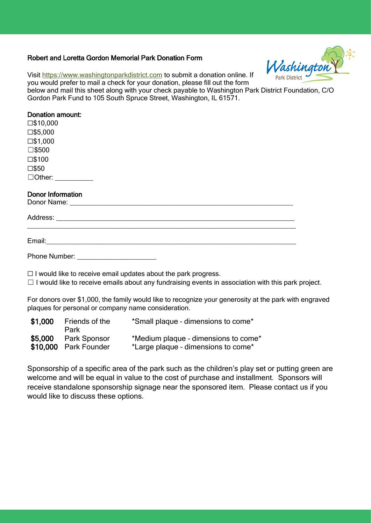### Robert and Loretta Gordon Memorial Park Donation Form



Visit [https://www.washingtonparkdistrict.com](https://www.washingtonparkdistrict.com/) to submit a donation online. If you would prefer to mail a check for your donation, please fill out the form

below and mail this sheet along with your check payable to Washington Park District Foundation, C/O Gordon Park Fund to 105 South Spruce Street, Washington, IL 61571.

## Donation amount:

☐\$10,000 ☐\$5,000 ☐\$1,000 ☐\$500 ☐\$100 ☐\$50  $\Box$  Other:

### Donor Information

Donor Name:

Address: \_\_\_\_\_\_\_\_\_\_\_\_\_\_\_\_\_\_\_\_\_\_\_\_\_\_\_\_\_\_\_\_\_\_\_\_\_\_\_\_\_\_\_\_\_\_\_\_\_\_\_\_\_\_\_\_\_\_\_\_\_\_\_

Email:\_\_\_\_\_\_\_\_\_\_\_\_\_\_\_\_\_\_\_\_\_\_\_\_\_\_\_\_\_\_\_\_\_\_\_\_\_\_\_\_\_\_\_\_\_\_\_\_\_\_\_\_\_\_\_\_\_\_\_\_\_\_\_\_\_\_

Phone Number:

 $\Box$  I would like to receive email updates about the park progress.

 $\Box$  I would like to receive emails about any fundraising events in association with this park project.

For donors over \$1,000, the family would like to recognize your generosity at the park with engraved plaques for personal or company name consideration.

| \$1,000 | Friends of the<br>Park                | *Small plaque - dimensions to come*                                         |
|---------|---------------------------------------|-----------------------------------------------------------------------------|
| \$5,000 | Park Sponsor<br>\$10,000 Park Founder | *Medium plaque - dimensions to come*<br>*Large plaque - dimensions to come* |

Sponsorship of a specific area of the park such as the children's play set or putting green are welcome and will be equal in value to the cost of purchase and installment. Sponsors will receive standalone sponsorship signage near the sponsored item. Please contact us if you would like to discuss these options.